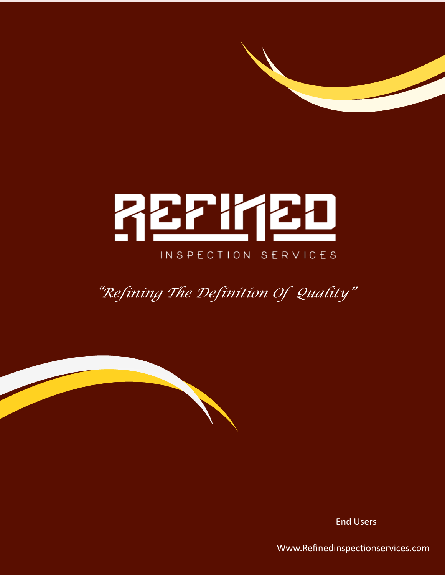# REPIKED INSPECTION SERVICES

*"Refining The Definition Of Quality"*

End Users

Www.Refinedinspectionservices.com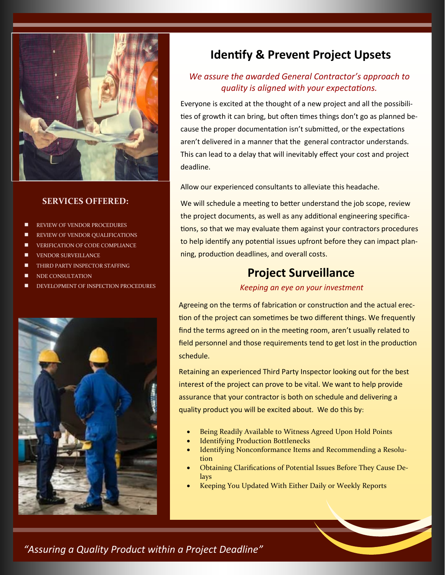

#### **SERVICES OFFERED:**

- REVIEW OF VENDOR PROCEDURES
- REVIEW OF VENDOR QUALIFICATIONS
- VERIFICATION OF CODE COMPLIANCE
- VENDOR SURVEILLANCE
- THIRD PARTY INSPECTOR STAFFING
- NDE CONSULTATION
- DEVELOPMENT OF INSPECTION PROCEDURES



# **Identify & Prevent Project Upsets**

## *We assure the awarded General Contractor's approach to quality is aligned with your expectations.*

Everyone is excited at the thought of a new project and all the possibilities of growth it can bring, but often times things don't go as planned because the proper documentation isn't submitted, or the expectations aren't delivered in a manner that the general contractor understands. This can lead to a delay that will inevitably effect your cost and project deadline.

Allow our experienced consultants to alleviate this headache.

We will schedule a meeting to better understand the job scope, review the project documents, as well as any additional engineering specifications, so that we may evaluate them against your contractors procedures to help identify any potential issues upfront before they can impact planning, production deadlines, and overall costs.

# **Project Surveillance**

#### *Keeping an eye on your investment*

Agreeing on the terms of fabrication or construction and the actual erection of the project can sometimes be two different things. We frequently find the terms agreed on in the meeting room, aren't usually related to field personnel and those requirements tend to get lost in the production schedule.

Retaining an experienced Third Party Inspector looking out for the best interest of the project can prove to be vital. We want to help provide assurance that your contractor is both on schedule and delivering a quality product you will be excited about. We do this by:

- Being Readily Available to Witness Agreed Upon Hold Points
- **Identifying Production Bottlenecks**
- Identifying Nonconformance Items and Recommending a Resolution
- Obtaining Clarifications of Potential Issues Before They Cause Delays
- Keeping You Updated With Either Daily or Weekly Reports

*"Assuring a Quality Product within a Project Deadline"*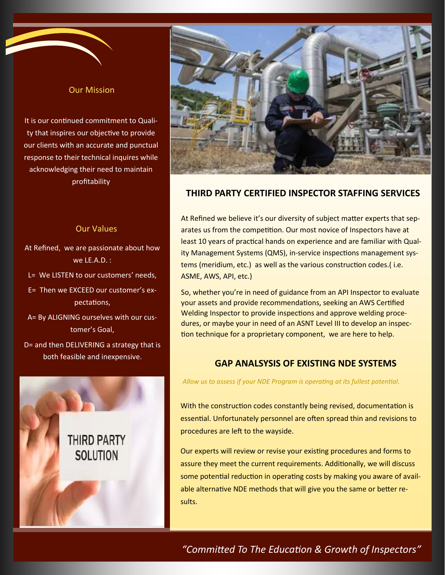#### Our Mission

It is our continued commitment to Quality that inspires our objective to provide our clients with an accurate and punctual response to their technical inquires while acknowledging their need to maintain profitability

#### Our Values

- At Refined, we are passionate about how we LE.A.D. :
- L= We LISTEN to our customers' needs,
- E= Then we EXCEED our customer's expectations,
- A= By ALIGNING ourselves with our customer's Goal,
- D= and then DELIVERING a strategy that is both feasible and inexpensive.





## **THIRD PARTY CERTIFIED INSPECTOR STAFFING SERVICES**

At Refined we believe it's our diversity of subject matter experts that separates us from the competition. Our most novice of Inspectors have at least 10 years of practical hands on experience and are familiar with Quality Management Systems (QMS), in-service inspections management systems (meridium, etc.) as well as the various construction codes.( i.e. ASME, AWS, API, etc.)

So, whether you're in need of guidance from an API Inspector to evaluate your assets and provide recommendations, seeking an AWS Certified Welding Inspector to provide inspections and approve welding procedures, or maybe your in need of an ASNT Level III to develop an inspection technique for a proprietary component, we are here to help.

## **GAP ANALSYSIS OF EXISTING NDE SYSTEMS**

*Allow us to assess if your NDE Program is operating at its fullest potential.*

With the construction codes constantly being revised, documentation is essential. Unfortunately personnel are often spread thin and revisions to procedures are left to the wayside.

Our experts will review or revise your existing procedures and forms to assure they meet the current requirements. Additionally, we will discuss some potential reduction in operating costs by making you aware of available alternative NDE methods that will give you the same or better results.

## *"Committed To The Education & Growth of Inspectors"*